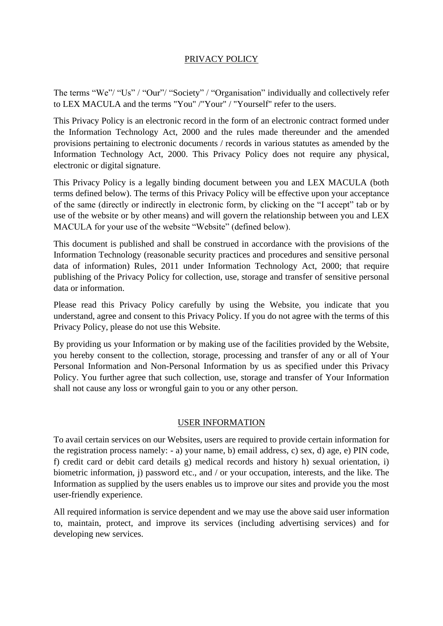# PRIVACY POLICY

The terms "We"/ "Us" / "Our"/ "Society" / "Organisation" individually and collectively refer to LEX MACULA and the terms "You" /"Your" / "Yourself" refer to the users.

This Privacy Policy is an electronic record in the form of an electronic contract formed under the Information Technology Act, 2000 and the rules made thereunder and the amended provisions pertaining to electronic documents / records in various statutes as amended by the Information Technology Act, 2000. This Privacy Policy does not require any physical, electronic or digital signature.

This Privacy Policy is a legally binding document between you and LEX MACULA (both terms defined below). The terms of this Privacy Policy will be effective upon your acceptance of the same (directly or indirectly in electronic form, by clicking on the "I accept" tab or by use of the website or by other means) and will govern the relationship between you and LEX MACULA for your use of the website "Website" (defined below).

This document is published and shall be construed in accordance with the provisions of the Information Technology (reasonable security practices and procedures and sensitive personal data of information) Rules, 2011 under Information Technology Act, 2000; that require publishing of the Privacy Policy for collection, use, storage and transfer of sensitive personal data or information.

Please read this Privacy Policy carefully by using the Website, you indicate that you understand, agree and consent to this Privacy Policy. If you do not agree with the terms of this Privacy Policy, please do not use this Website.

By providing us your Information or by making use of the facilities provided by the Website, you hereby consent to the collection, storage, processing and transfer of any or all of Your Personal Information and Non-Personal Information by us as specified under this Privacy Policy. You further agree that such collection, use, storage and transfer of Your Information shall not cause any loss or wrongful gain to you or any other person.

#### USER INFORMATION

To avail certain services on our Websites, users are required to provide certain information for the registration process namely: - a) your name, b) email address, c) sex, d) age, e) PIN code, f) credit card or debit card details g) medical records and history h) sexual orientation, i) biometric information, j) password etc., and / or your occupation, interests, and the like. The Information as supplied by the users enables us to improve our sites and provide you the most user-friendly experience.

All required information is service dependent and we may use the above said user information to, maintain, protect, and improve its services (including advertising services) and for developing new services.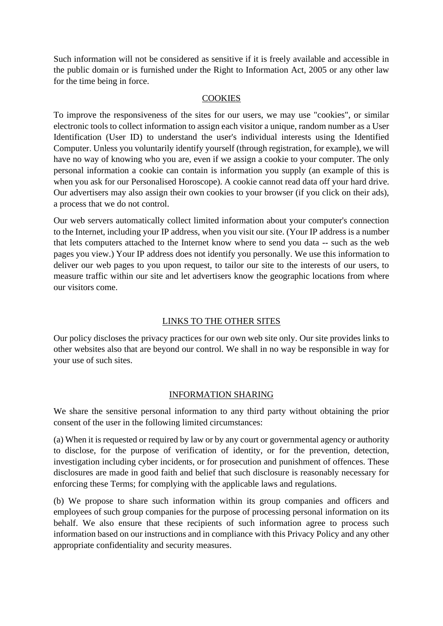Such information will not be considered as sensitive if it is freely available and accessible in the public domain or is furnished under the Right to Information Act, 2005 or any other law for the time being in force.

### **COOKIES**

To improve the responsiveness of the sites for our users, we may use "cookies", or similar electronic tools to collect information to assign each visitor a unique, random number as a User Identification (User ID) to understand the user's individual interests using the Identified Computer. Unless you voluntarily identify yourself (through registration, for example), we will have no way of knowing who you are, even if we assign a cookie to your computer. The only personal information a cookie can contain is information you supply (an example of this is when you ask for our Personalised Horoscope). A cookie cannot read data off your hard drive. Our advertisers may also assign their own cookies to your browser (if you click on their ads), a process that we do not control.

Our web servers automatically collect limited information about your computer's connection to the Internet, including your IP address, when you visit our site. (Your IP address is a number that lets computers attached to the Internet know where to send you data -- such as the web pages you view.) Your IP address does not identify you personally. We use this information to deliver our web pages to you upon request, to tailor our site to the interests of our users, to measure traffic within our site and let advertisers know the geographic locations from where our visitors come.

## LINKS TO THE OTHER SITES

Our policy discloses the privacy practices for our own web site only. Our site provides links to other websites also that are beyond our control. We shall in no way be responsible in way for your use of such sites.

## INFORMATION SHARING

We share the sensitive personal information to any third party without obtaining the prior consent of the user in the following limited circumstances:

(a) When it is requested or required by law or by any court or governmental agency or authority to disclose, for the purpose of verification of identity, or for the prevention, detection, investigation including cyber incidents, or for prosecution and punishment of offences. These disclosures are made in good faith and belief that such disclosure is reasonably necessary for enforcing these Terms; for complying with the applicable laws and regulations.

(b) We propose to share such information within its group companies and officers and employees of such group companies for the purpose of processing personal information on its behalf. We also ensure that these recipients of such information agree to process such information based on our instructions and in compliance with this Privacy Policy and any other appropriate confidentiality and security measures.